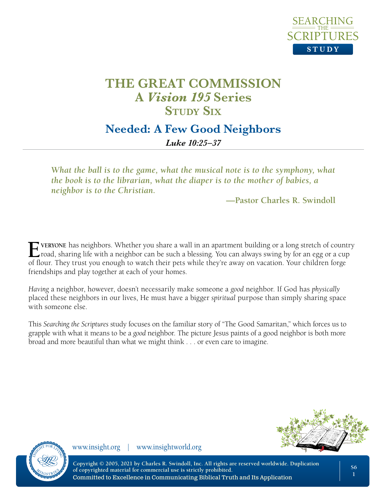

## **Needed: A Few Good Neighbors**

*Luke 10:25–37*

*What the ball is to the game, what the musical note is to the symphony, what the book is to the librarian, what the diaper is to the mother of babies, a neighbor is to the Christian.*

**—Pastor Charles R. Swindoll**

**Everyone** has neighbors. Whether you share a wall in an apartment building or a long stretch of country  $\Box$  road, sharing life with a neighbor can be such a blessing. You can always swing by for an egg or a cup of flour. They trust you enough to watch their pets while they're away on vacation. Your children forge friendships and play together at each of your homes.

*Having* a neighbor, however, doesn't necessarily make someone a *good* neighbor. If God has *physically* placed these neighbors in our lives, He must have a bigger *spiritual* purpose than simply sharing space with someone else.

This *Searching the Scriptures* study focuses on the familiar story of "The Good Samaritan," which forces us to grapple with what it means to be a *good* neighbor. The picture Jesus paints of a good neighbor is both more broad and more beautiful than what we might think . . . or even care to imagine.



www.insight.org | www.insightworld.org

**Copyright © 2005, 2021 by Charles R. Swindoll, Inc. All rights are reserved worldwide. Duplication of copyrighted material for commercial use is strictly prohibited.** Committed to Excellence in Communicating Biblical Truth and Its Application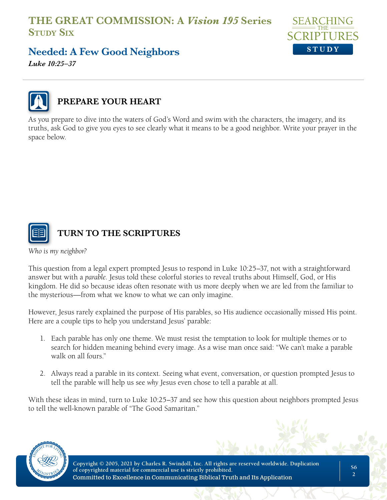

# **Needed: A Few Good Neighbors**

*Luke 10:25–37*



#### **PREPARE YOUR HEART**

As you prepare to dive into the waters of God's Word and swim with the characters, the imagery, and its truths, ask God to give you eyes to see clearly what it means to be a good neighbor. Write your prayer in the space below.



#### **TURN TO THE SCRIPTURES**

*Who is my neighbor?*

This question from a legal expert prompted Jesus to respond in Luke 10:25–37, not with a straightforward answer but with a *parable*. Jesus told these colorful stories to reveal truths about Himself, God, or His kingdom. He did so because ideas often resonate with us more deeply when we are led from the familiar to the mysterious—from what we know to what we can only imagine.

However, Jesus rarely explained the purpose of His parables, so His audience occasionally missed His point. Here are a couple tips to help you understand Jesus' parable:

- 1. Each parable has only one theme. We must resist the temptation to look for multiple themes or to search for hidden meaning behind every image. As a wise man once said: "We can't make a parable walk on all fours."
- 2. Always read a parable in its context. Seeing what event, conversation, or question prompted Jesus to tell the parable will help us see *why* Jesus even chose to tell a parable at all.

With these ideas in mind, turn to Luke 10:25–37 and see how this question about neighbors prompted Jesus to tell the well-known parable of "The Good Samaritan."

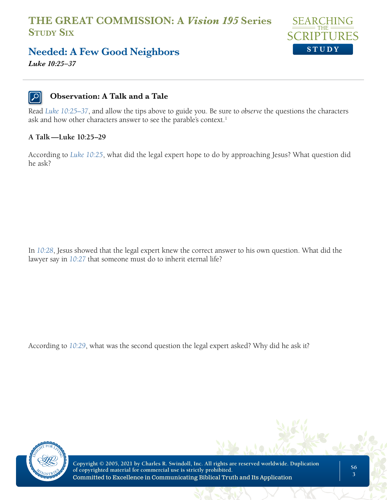

### **Needed: A Few Good Neighbors**

*Luke 10:25–37*

#### **Observation: A Talk and a Tale**

Read *Luke 10:25–37*, and allow the tips above to guide you. Be sure to *observe* the questions the characters ask and how other characters answer to see the parable's context.<sup>1</sup>

#### **A Talk —Luke 10:25–29**

According to *Luke 10:25*, what did the legal expert hope to do by approaching Jesus? What question did he ask?

In *10:28*, Jesus showed that the legal expert knew the correct answer to his own question. What did the lawyer say in *10:27* that someone must do to inherit eternal life?

According to *10:29*, what was the second question the legal expert asked? Why did he ask it?



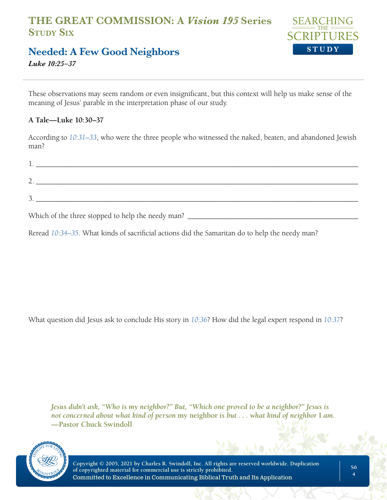

## **Needed: A Few Good Neighbors**

*Luke 10:25–37*

These observations may seem random or even insignificant, but this context will help us make sense of the meaning of Jesus' parable in the interpretation phase of our study.

#### **A Tale—Luke 10:30–37**

According to *10:31–33*, who were the three people who witnessed the naked, beaten, and abandoned Jewish man?

| <b>L.</b> |  |  |  |
|-----------|--|--|--|
| ,.        |  |  |  |
| <u>.</u>  |  |  |  |
|           |  |  |  |

Which of the three stopped to help the needy man?

Reread *10:34–35*. What kinds of sacrificial actions did the Samaritan do to help the needy man?

What question did Jesus ask to conclude His story in *10:36*? How did the legal expert respond in *10:37*?

*Jesus didn't ask, "Who is my neighbor?" But, "Which one proved to be a neighbor?" Jesus is not concerned about what kind of person* **my neighbor** *is but . . . what kind of neighbor* **I** *am.*  **—Pastor Chuck Swindoll**

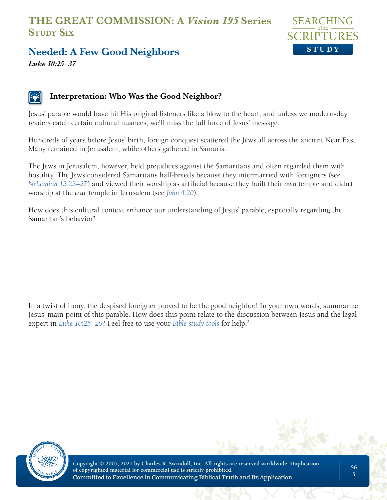

**Needed: A Few Good Neighbors** *Luke 10:25–37*

#### **Interpretation: Who Was the Good Neighbor?**

Jesus' parable would have hit His original listeners like a blow to the heart, and unless we modern-day readers catch certain cultural nuances, we'll miss the full force of Jesus' message.

Hundreds of years before Jesus' birth, foreign conquest scattered the Jews all across the ancient Near East. Many remained in Jerusalem, while others gathered in Samaria.

The Jews in Jerusalem, however, held prejudices against the Samaritans and often regarded them with hostility. The Jews considered Samaritans half-breeds because they intermarried with foreigners (see *Nehemiah 13:23–27*) and viewed their worship as artificial because they built their *own* temple and didn't worship at the *true* temple in Jerusalem (see *John 4:20*).

How does this cultural context enhance our understanding of Jesus' parable, especially regarding the Samaritan's behavior?

In a twist of irony, the despised foreigner proved to be the good neighbor! In your own words, summarize Jesus' main point of this parable. How does this point relate to the discussion between Jesus and the legal expert in *Luke 10:25–29*? Feel free to use your *Bible study tools* for help.2



**Copyright © 2005, 2021 by Charles R. Swindoll, Inc. All rights are reserved worldwide. Duplication of copyrighted material for commercial use is strictly prohibited.** Committed to Excellence in Communicating Biblical Truth and Its Application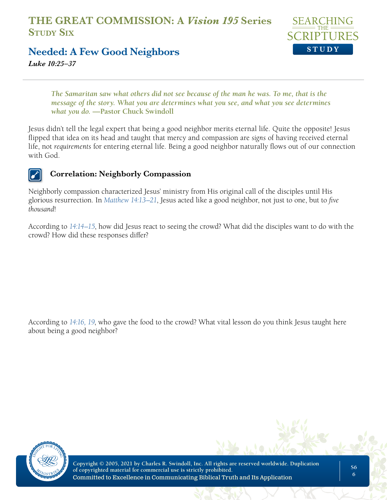

**Needed: A Few Good Neighbors**

*Luke 10:25–37*

*The Samaritan saw what others did not see because of the man he was. To me, that is the message of the story. What you are determines what you see, and what you see determines what you do.* **—Pastor Chuck Swindoll**

Jesus didn't tell the legal expert that being a good neighbor merits eternal life. Quite the opposite! Jesus flipped that idea on its head and taught that mercy and compassion are *signs* of having received eternal life, not *requirements* for entering eternal life. Being a good neighbor naturally flows out of our connection with God.



#### **Correlation: Neighborly Compassion**

Neighborly compassion characterized Jesus' ministry from His original call of the disciples until His glorious resurrection. In *Matthew 14:13–21*, Jesus acted like a good neighbor, not just to one, but to *five thousand*!

According to *14:14–15*, how did Jesus react to seeing the crowd? What did the disciples want to do with the crowd? How did these responses differ?

According to *14:16, 19*, who gave the food to the crowd? What vital lesson do you think Jesus taught here about being a good neighbor?

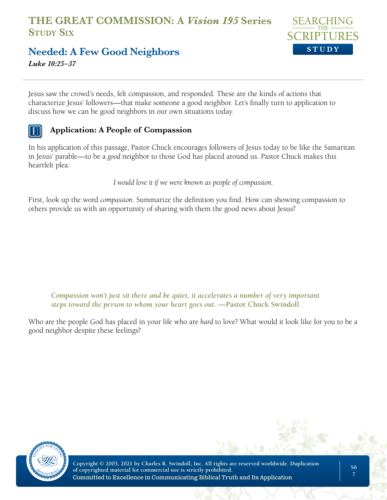

# **Needed: A Few Good Neighbors**

*Luke 10:25–37*

Jesus saw the crowd's needs, felt compassion, and responded. These are the kinds of actions that characterize Jesus' followers—that make someone a good neighbor. Let's finally turn to application to discuss how we can be good neighbors in our own situations today.

#### **Application: A People of Compassion**

In his application of this passage, Pastor Chuck encourages followers of Jesus today to be like the Samaritan in Jesus' parable—to be a *good* neighbor to those God has placed around us. Pastor Chuck makes this heartfelt plea:

*I would love it if we were known as people of compassion.*

First, look up the word *compassion*. Summarize the definition you find. How can showing compassion to others provide us with an opportunity of sharing with them the good news about Jesus?

*Compassion won't just sit there and be quiet, it accelerates a number of very important steps toward the person to whom your heart goes out.* **—Pastor Chuck Swindoll**

Who are the people God has placed in your life who are *hard* to love? What would it look like for you to be a good neighbor despite these feelings?